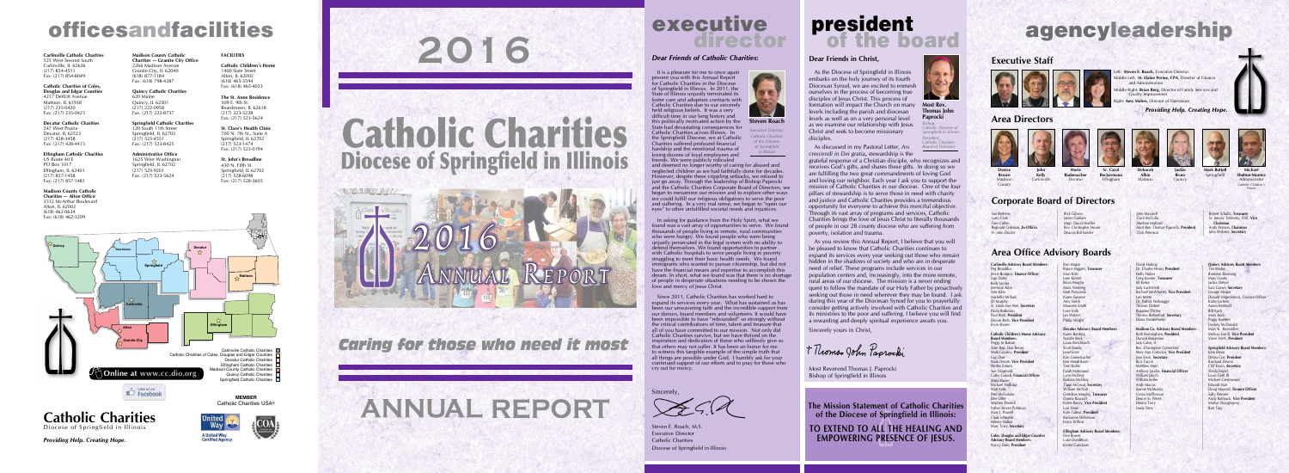**2016**

Catholic Charities

**Diocese of Springfield in Illinois** 

*Caring for those who need it most*



# executive<br>director

**Catholic Charities**

Diocese of Springfield in Illinois

*Providing Help. Creating Hope.*



A United Way<br>Certified Agency



#### **2002**<br>0634 **Madison County Catholic Charities — Alton Office** 3512 McArthur Boulevard Alton, IL 62002 (618) 462-0634

# officesandfacilities  $\overline{2016}$  agencyleadership

**Carlinville Catholic Charities** 525 West Second South Carlinville, IL 62626 (217) 854-4511 Fax: (217) 854-8049

**Catholic Charities of Coles, Douglas and Edgar Counties** 4217 DeWitt Avenue Mattoon, IL 61938 (217) 235-0420 Fax: (217) 235-0425

**Decatur Catholic Charities** 247 West Prairie Decatur, IL 62523 (217) 428-3458 Fax: (217) 428-4415

**Effingham Catholic Charities** US Route 40 E PO Box 1017 Effingham, IL 62401  $(217)$  857-1458 Fax: (217) 857-1481





**Mark Buttell** *Springfield* 

**Madison County Catholic Charities — Granite City Office** 2266 Madison Avenue Granite City, IL 62040  $(618)$  877-1184 Fax: (618) 798-4287

**Quincy Catholic Charities** 620 Maine Quincy, IL 62301  $(217)$   $222-0958$ Fax: (217) 222-8737

**Springfield Catholic Charities** 120 South 11th Street Springfield, IL 62703  $(217)$  523-4551 Fax: (217) 523-8425

> **John Maxwe** Clare McCulla Marlene Mulford **Most Rev. Thomas Paprocki, President** Chris Peterson

#### **Administrative Office** 1625 West Washington Springfield, IL 62702  $(217)$  523-9201 Fax: (217) 523-5624

**FACILITIES**

**Catholic Children's Home** 1400 State Street Alton, IL 62002 (618) 465-3594 Fax: (618) 465-4023

**The St. Anne Residence** 309 E. 9th St. Beardstown, IL 62618 (217) 323-3228 Fax: (217) 523-5624

**St. Clare's Health Clinic** 700 N. 7th St., Suite A Springfield, IL 62702  $(217)$  523-1474 Fax: (217) 523-0194

**St. John's Breadline** 430 N. Fifth St. Springfield, IL 62702 (217) 528-6098 Fax: (217) 528-3605

Catholic Charities USA®

A TRAINWA NAV





**Sr. Carol Beckermann** *Effingham*



**Rademacher** *Decatur Carlinville*

**John**

**Kelly**

**Denise Brown** *Madison County*



**Jackie Bruns** *Quincy*



**Deborah Albin** *Mattoon*

**Effingham Advisory Board Member** Dee Bower Luke Doedtman Kristie Goeckner

David Habing Dr. Charles Horin, President **Holly Huber** Greg Koester, **Treasurer** Jill Kreke Judy Luchtefeld Rachael McWhorter, **Vice President** Lori Mette Dr. Patrick Niebrugge Thomas Ordner Roxanne Pitcher Theresa Rutherford, **Secretary** Diana Vonderheid



**Michael Shelton-Monte** *Administrator Catholic Children's Home*





ft: Steven E. Roach, Executive Director **ddle Left: M. Elaine Perine, CPA**, Director of Finance and Administration dle Right: Brian Berg, Director of Family Services and Quality Improvement aher, Director of Operations

## **Executive Staff**

**Madison Co. Advisory Board Member** Ruth Birmingham, **President** Donald Bohannon Jack Calve, II Rev. Christopher Comerford Mary Ann Costanzo, Vice Presider Jean Ervin, **Secretary** Rick Faccin Matthew Horn Anthony Jacobs, **Financial Officer** William Jakich William Keller Andy Macias Joanne McMurray Vanna McPherson Denise St. Peters Dennis Terry Linda Terry

### **Corporate Board of Directors**

Sue Breheny Larry Clark Tom Cullen Reginald Coleman, **Ex-Officio** Fr. John Doctor

> **Quincy Advisory Board Member** Tim Bealor Brandon Bruening Mary Courty Jackie Dreyer Sara Grawe, **Secretary** George Harper Donald Hilgenbrinck, Finance Office Kathy Jochem Aaron Kerkhoff Bill Koch Mary Koch Peggy Koetters Lindsey McDonald Mary K. Rossmiller **Melissa Sorrill, Vice President** Vieve Veith, **President**

Rick Gibson James Graham Msgr. David Hoefler Rev. Christopher House Deacon Bill Kessler

> **Springfield Advisory Board Member** John Blean Debra Coe, **President** Rosiland Dennis Cliff Erwin, **Secretary** Sheila Feipel Louis Gietl III Michael Greenwood Edward Hart Doug Mauntel, **Finance Officer** Sally Petrone Andy Rathsack, **Vice President** Marlyn Shaughnessy Bart Troy

Robert Schultz, **Treasurer** Sr. Jomary Trstensky, OSF, **Vice Chairman** Andy Watson, **Chairman** John Webster, **Secretary**

## **Area Office Advisory Boards**

**Carlinville Advisory Board Members:** Peg Broaddus Jessie Bumpus, **Finance Officer** Lige Daley Kelly Jacobs Jeremiah Kibe Ann Kibe Michelle Millard Jill Murphy Sr. Linda Sue Noe, **Secretary** Paula Robinson Paul Roth, **President** Denise Roth, Vice Presiden Ervin Shores

**Catholic Children's Home Advisory Board Members:** Peggy Jo Batson State Rep. Dan Beiser Mark Cousley, **President** Gigi Darr **Mark Droste, Vice President** Shirley Emons Sue Fitzgerald Cathy Gulash, **Financial Officer** Anna Haine Michael Holliday Matt Kelly Pete McFarlane Dee Oller Stephen Pennell Father Steven Pohlma Mary J. Powell Chad Schnarre Minnie Stalker Mary Terry, **Secretary**

**Coles, Douglas and Edgar Counties** 



**Advisory Board Members:** Nancy Dole, **President**

Ron Hagan **Rance Higgins, Treasurer** Sean Kirts June Kriesel **Brian Murphy** Mark Niemerg Matt Piescinski Karen Savoree Amy Smith Maureen Smith Lexe Volk Jan Wetzel Philip Wright

**Decatur Advisory Board Members:** Karen Barding

Natalie Beck Laura Birschbach Scott Bundy Janet Ernst Kim Genenbacher Ken Hendriksen Terri Kuhle Farah Mahmood Lynn McElroy Barbara McElroy Tappi McLeod, **Secretary** William McNutt Gretchen Murphy, Treasure Donna Raycraft Kylee Roney, **Vice President** Lori Stone Kyle Talleur, **President** Rockanne Wilkerson Jesica Willcut

#### *Providing Help. Creating Hope.*



It is a pleasure for me to once again present you with this Annual Report for Catholic Charities in the Diocese of Springfield in Illinois. In 2011, the State of Illinois unjustly terminated its foster care and adoption contracts with Catholic Charities due to our sincerely held religious beliefs. It was a very difficult time in our long history and this politically motivated action by the State had devastating consequences for Catholic Charities across Illinois. In the Springfield Diocese, we at Catholic

friends. We were publicly ridiculed



and deemed no longer worthy of caring for abused and neglected children as we had faithfully done for decades. However, despite these crippling setbacks, we refused to just go away. Through the leadership of Bishop Paprocki and the Catholic Charities Corporate Board of Directors, we began to reexamine our mission and to explore other ways we could fulfill our religious obligations to serve the poor and suffering. In a very real sense, we began to "open our eyes" to other unfulfilled societal needs and injustices.

In asking for guidance from the Holy Spirit, what we found was a vast array of opportunities to serve. We found thousands of people living in remote, rural communities who were hungry. We found people who were being unjustly persecuted in the legal system with no ability to defend themselves. We found opportunities to partner with Catholic hospitals to serve people living in poverty struggling to meet their basic health needs. We found immigrants who wanted to pursue citizenship, but did not have the financial means and expertise to accomplish this dream. In short, what we found was that there is no shortage of people in desperate situations needing to be shown the love and mercy of Jesus Christ.

Since 2011, Catholic Charities has worked hard to expand its services every year. What has sustained us has been our unwavering faith and the incredible support from our donors, board members and volunteers. It would have been impossible to have "rebounded" so strongly without the critical contributions of time, talent and treasure that all of you have committed to our mission. Not only did Catholic Charities survive, but we have thrived on the nspiration and dedication of those who selflessly give so that others may not suffer. It has been an honor for me to witness this tangible example of the simple truth that all things are possible under God. I humbly ask for your continued support of our efforts and to pray for those who cry out for mercy.

Sincerely,

Steven E. Roach, M.S. Executive Director Catholic Charities Diocese of Springfield in Illinois

#### **Dear Friends in Christ,**

Charities suffered profound financial hardship and the emotional trauma of losing dozens of loyal employees and *Executive Director, Catholic Charities of the Diocese of Springfield in Illinois*

As the Diocese of Springfield in Illinois embarks on the holy journey of its fourth Diocesan Synod, we are excited to enmesh ourselves in the process of becoming true disciples of Jesus Christ. This process of formation will impact the Church on many levels including the parish and diocesan levels as well as on a very personal level as we examine our relationship with Jesus Christ and seek to become missionary disciples.

*crescendi in Dei gratia***,** stewardship is the grateful response of a Christian disciple, who recognizes and receives God's gifts, and shares these gifts. In doing so we are fulfilling the two great commandments of loving God and loving our neighbor. Each year I ask you to support the mission of Catholic Charities in our diocese. One of the four pillars of stewardship is to serve those in need with charity and justice and Catholic Charities provides a tremendous opportunity for everyone to achieve this merciful objective. Through its vast array of programs and services, Catholic Charities brings the love of Jesus Christ to literally thousands of people in our 28 county diocese who are suffering from poverty, isolation and trauma.

As discussed in my Pastoral Letter, *Ars Board of Directors*

As you review this Annual Report, I believe that you will be pleased to know that Catholic Charities continues to expand its services every year seeking out those who remain hidden in the shadows of society and who are in desperate need of relief. These programs include services in our population centers and, increasingly, into the more remote, rural areas of our diocese. The mission is a never ending quest to follow the mandate of our Holy Father by proactively seeking out those in need wherever they may be found. I ask during this year of the Diocesan Synod for you to prayerfully consider getting actively involved with Catholic Charities and its ministries to the poor and suffering. I believe you will find a rewarding and deeply spiritual experience awaits you.

Sincerely yours in Christ,

+ Thomso John Paprocki

Most Reverend Thomas J. Paprocki Bishop of Springfield in Illinois

## president of the board



**Thomas John Paprocki**

*Bishop, Catholic Diocese of Springfield in Illinois President, Catholic Charities*



**The Mission Statement of Catholic Charities of the Diocese of Springfield in Illinois:**

**TO EXTEND TO ALL THE HEALING AND EMPOWERING PRESENCE OF JESUS.**

**Steven Roach**

#### *Dear Friends of Catholic Charities:*